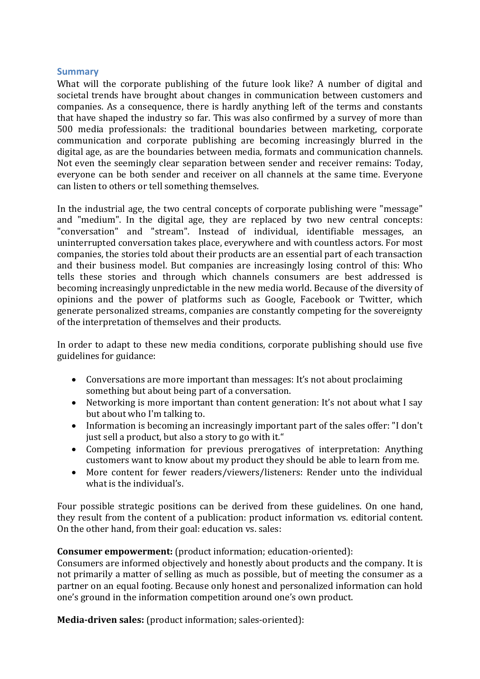## **Summary**

What will the corporate publishing of the future look like? A number of digital and societal trends have brought about changes in communication between customers and companies. As a consequence, there is hardly anything left of the terms and constants that have shaped the industry so far. This was also confirmed by a survey of more than 500 media professionals: the traditional boundaries between marketing, corporate communication and corporate publishing are becoming increasingly blurred in the digital age, as are the boundaries between media, formats and communication channels. Not even the seemingly clear separation between sender and receiver remains: Today, everyone can be both sender and receiver on all channels at the same time. Everyone can listen to others or tell something themselves.

In the industrial age, the two central concepts of corporate publishing were "message" and "medium". In the digital age, they are replaced by two new central concepts: "conversation" and "stream". Instead of individual, identifiable messages, an uninterrupted conversation takes place, everywhere and with countless actors. For most companies, the stories told about their products are an essential part of each transaction and their business model. But companies are increasingly losing control of this: Who tells these stories and through which channels consumers are best addressed is becoming increasingly unpredictable in the new media world. Because of the diversity of opinions and the power of platforms such as Google, Facebook or Twitter, which generate personalized streams, companies are constantly competing for the sovereignty of the interpretation of themselves and their products.

In order to adapt to these new media conditions, corporate publishing should use five guidelines for guidance:

- Conversations are more important than messages: It's not about proclaiming something but about being part of a conversation.
- Networking is more important than content generation: It's not about what I say but about who I'm talking to.
- Information is becoming an increasingly important part of the sales offer: "I don't just sell a product, but also a story to go with it."
- Competing information for previous prerogatives of interpretation: Anything customers want to know about my product they should be able to learn from me.
- More content for fewer readers/viewers/listeners: Render unto the individual what is the individual's.

Four possible strategic positions can be derived from these guidelines. On one hand, they result from the content of a publication: product information vs. editorial content. On the other hand, from their goal: education vs. sales:

## **Consumer empowerment:** (product information; education-oriented):

Consumers are informed objectively and honestly about products and the company. It is not primarily a matter of selling as much as possible, but of meeting the consumer as a partner on an equal footing. Because only honest and personalized information can hold one's ground in the information competition around one's own product.

**Media-driven sales:** (product information; sales-oriented):